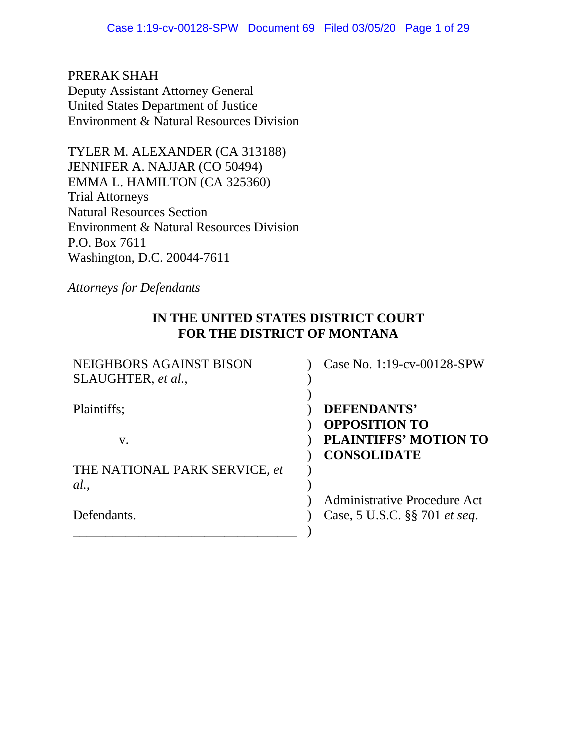PRERAK SHAH Deputy Assistant Attorney General United States Department of Justice Environment & Natural Resources Division

TYLER M. ALEXANDER (CA 313188) JENNIFER A. NAJJAR (CO 50494) EMMA L. HAMILTON (CA 325360) Trial Attorneys Natural Resources Section Environment & Natural Resources Division P.O. Box 7611 Washington, D.C. 20044-7611

*Attorneys for Defendants* 

## **IN THE UNITED STATES DISTRICT COURT FOR THE DISTRICT OF MONTANA**

| NEIGHBORS AGAINST BISON<br>SLAUGHTER, et al., | Case No. 1:19-cv-00128-SPW                           |
|-----------------------------------------------|------------------------------------------------------|
| Plaintiffs;                                   | DEFENDANTS'                                          |
| $V_{\star}$                                   | <b>OPPOSITION TO</b><br><b>PLAINTIFFS' MOTION TO</b> |
| THE NATIONAL PARK SERVICE, et                 | <b>CONSOLIDATE</b>                                   |
| al.                                           |                                                      |
|                                               | Administrative Procedure Act                         |
| Defendants.                                   | Case, 5 U.S.C. §§ 701 <i>et seq.</i>                 |
|                                               |                                                      |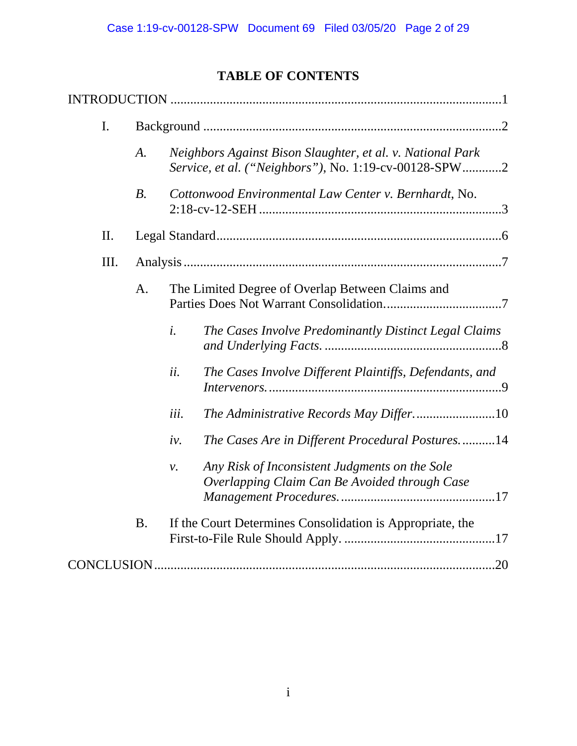# **TABLE OF CONTENTS**

| I.  |           |                                                                                                                     |  |
|-----|-----------|---------------------------------------------------------------------------------------------------------------------|--|
|     | A.        | Neighbors Against Bison Slaughter, et al. v. National Park<br>Service, et al. ("Neighbors"), No. 1:19-cv-00128-SPW2 |  |
|     | $B$ .     | Cottonwood Environmental Law Center v. Bernhardt, No.                                                               |  |
| II. |           |                                                                                                                     |  |
| Ш.  |           |                                                                                                                     |  |
|     | A.        | The Limited Degree of Overlap Between Claims and                                                                    |  |
|     |           | $\dot{i}$ .<br>The Cases Involve Predominantly Distinct Legal Claims                                                |  |
|     |           | ii.<br>The Cases Involve Different Plaintiffs, Defendants, and                                                      |  |
|     |           | iii.                                                                                                                |  |
|     |           | The Cases Are in Different Procedural Postures14<br>iv.                                                             |  |
|     |           | Any Risk of Inconsistent Judgments on the Sole<br>$\nu$ .<br>Overlapping Claim Can Be Avoided through Case          |  |
|     | <b>B.</b> | If the Court Determines Consolidation is Appropriate, the                                                           |  |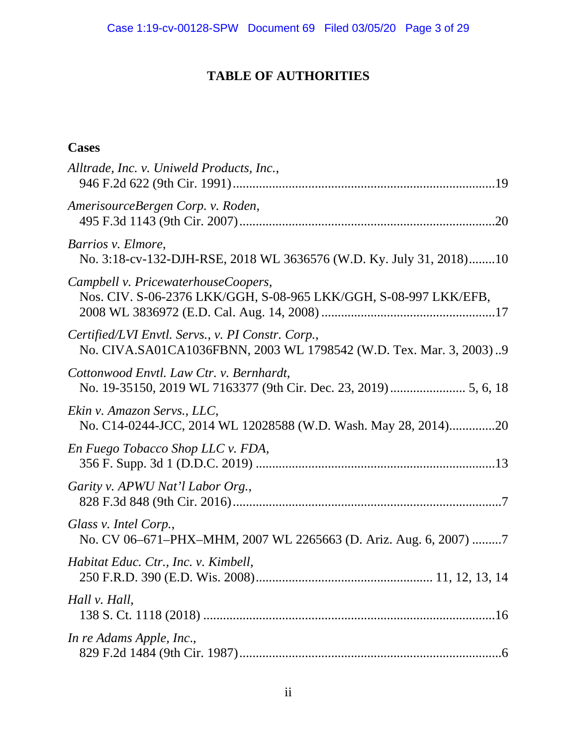# **TABLE OF AUTHORITIES**

# **Cases**

| Alltrade, Inc. v. Uniweld Products, Inc.,                                                                               |
|-------------------------------------------------------------------------------------------------------------------------|
| AmerisourceBergen Corp. v. Roden,                                                                                       |
| Barrios v. Elmore,<br>No. 3:18-cv-132-DJH-RSE, 2018 WL 3636576 (W.D. Ky. July 31, 2018)10                               |
| Campbell v. PricewaterhouseCoopers,<br>Nos. CIV. S-06-2376 LKK/GGH, S-08-965 LKK/GGH, S-08-997 LKK/EFB,                 |
| Certified/LVI Envtl. Servs., v. PI Constr. Corp.,<br>No. CIVA.SA01CA1036FBNN, 2003 WL 1798542 (W.D. Tex. Mar. 3, 2003)9 |
| Cottonwood Envtl. Law Ctr. v. Bernhardt,                                                                                |
| Ekin v. Amazon Servs., LLC,<br>No. C14-0244-JCC, 2014 WL 12028588 (W.D. Wash. May 28, 2014)20                           |
| En Fuego Tobacco Shop LLC v. FDA,                                                                                       |
| Garity v. APWU Nat'l Labor Org.,                                                                                        |
| Glass v. Intel Corp.,<br>No. CV 06-671-PHX-MHM, 2007 WL 2265663 (D. Ariz. Aug. 6, 2007) 7                               |
| Habitat Educ. Ctr., Inc. v. Kimbell,                                                                                    |
| Hall v. Hall,                                                                                                           |
| In re Adams Apple, Inc.,                                                                                                |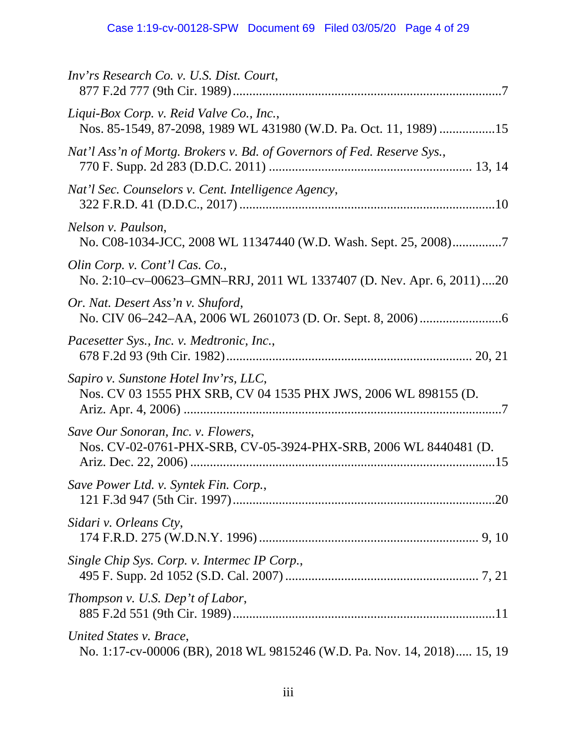| Inv'rs Research Co. v. U.S. Dist. Court,                                                                      |
|---------------------------------------------------------------------------------------------------------------|
| Liqui-Box Corp. v. Reid Valve Co., Inc.,<br>Nos. 85-1549, 87-2098, 1989 WL 431980 (W.D. Pa. Oct. 11, 1989) 15 |
| Nat'l Ass'n of Mortg. Brokers v. Bd. of Governors of Fed. Reserve Sys.,                                       |
| Nat'l Sec. Counselors v. Cent. Intelligence Agency,                                                           |
| Nelson v. Paulson,<br>No. C08-1034-JCC, 2008 WL 11347440 (W.D. Wash. Sept. 25, 2008)7                         |
| Olin Corp. v. Cont'l Cas. Co.,<br>No. 2:10-cv-00623-GMN-RRJ, 2011 WL 1337407 (D. Nev. Apr. 6, 2011)20         |
| Or. Nat. Desert Ass'n v. Shuford,                                                                             |
| Pacesetter Sys., Inc. v. Medtronic, Inc.,                                                                     |
| Sapiro v. Sunstone Hotel Inv'rs, LLC,<br>Nos. CV 03 1555 PHX SRB, CV 04 1535 PHX JWS, 2006 WL 898155 (D.      |
| Save Our Sonoran, Inc. v. Flowers,<br>Nos. CV-02-0761-PHX-SRB, CV-05-3924-PHX-SRB, 2006 WL 8440481 (D.        |
| Save Power Ltd. v. Syntek Fin. Corp.,                                                                         |
| Sidari v. Orleans Cty,                                                                                        |
| Single Chip Sys. Corp. v. Intermec IP Corp.,                                                                  |
| Thompson v. U.S. Dep't of Labor,                                                                              |
| United States v. Brace,<br>No. 1:17-cv-00006 (BR), 2018 WL 9815246 (W.D. Pa. Nov. 14, 2018) 15, 19            |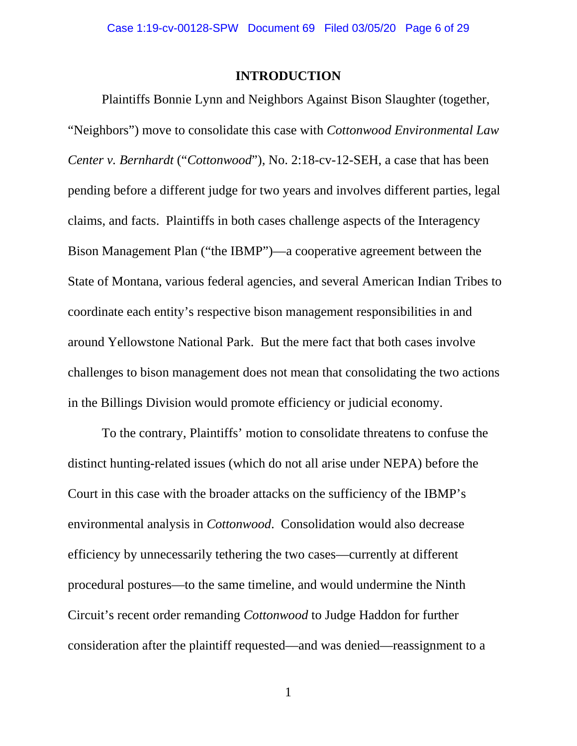#### **INTRODUCTION**

Plaintiffs Bonnie Lynn and Neighbors Against Bison Slaughter (together, "Neighbors") move to consolidate this case with *Cottonwood Environmental Law Center v. Bernhardt* ("*Cottonwood*"), No. 2:18-cv-12-SEH, a case that has been pending before a different judge for two years and involves different parties, legal claims, and facts. Plaintiffs in both cases challenge aspects of the Interagency Bison Management Plan ("the IBMP")—a cooperative agreement between the State of Montana, various federal agencies, and several American Indian Tribes to coordinate each entity's respective bison management responsibilities in and around Yellowstone National Park. But the mere fact that both cases involve challenges to bison management does not mean that consolidating the two actions in the Billings Division would promote efficiency or judicial economy.

To the contrary, Plaintiffs' motion to consolidate threatens to confuse the distinct hunting-related issues (which do not all arise under NEPA) before the Court in this case with the broader attacks on the sufficiency of the IBMP's environmental analysis in *Cottonwood*. Consolidation would also decrease efficiency by unnecessarily tethering the two cases—currently at different procedural postures—to the same timeline, and would undermine the Ninth Circuit's recent order remanding *Cottonwood* to Judge Haddon for further consideration after the plaintiff requested—and was denied—reassignment to a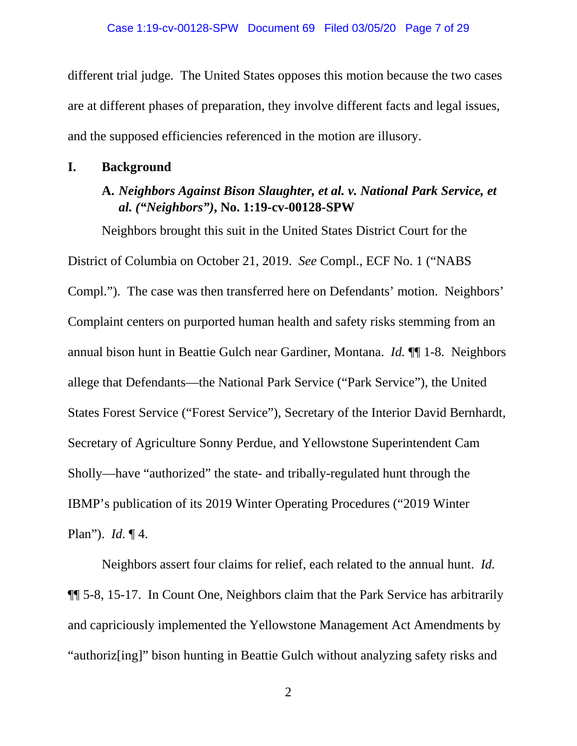different trial judge. The United States opposes this motion because the two cases are at different phases of preparation, they involve different facts and legal issues, and the supposed efficiencies referenced in the motion are illusory.

### **I. Background**

## **A.** *Neighbors Against Bison Slaughter, et al. v. National Park Service, et al. ("Neighbors")***, No. 1:19-cv-00128-SPW**

Neighbors brought this suit in the United States District Court for the District of Columbia on October 21, 2019. *See* Compl., ECF No. 1 ("NABS Compl."). The case was then transferred here on Defendants' motion. Neighbors' Complaint centers on purported human health and safety risks stemming from an annual bison hunt in Beattie Gulch near Gardiner, Montana. *Id.* ¶¶ 1-8. Neighbors allege that Defendants—the National Park Service ("Park Service"), the United States Forest Service ("Forest Service"), Secretary of the Interior David Bernhardt, Secretary of Agriculture Sonny Perdue, and Yellowstone Superintendent Cam Sholly—have "authorized" the state- and tribally-regulated hunt through the IBMP's publication of its 2019 Winter Operating Procedures ("2019 Winter Plan"). *Id.* ¶ 4.

Neighbors assert four claims for relief, each related to the annual hunt. *Id.* ¶¶ 5-8, 15-17. In Count One, Neighbors claim that the Park Service has arbitrarily and capriciously implemented the Yellowstone Management Act Amendments by "authoriz[ing]" bison hunting in Beattie Gulch without analyzing safety risks and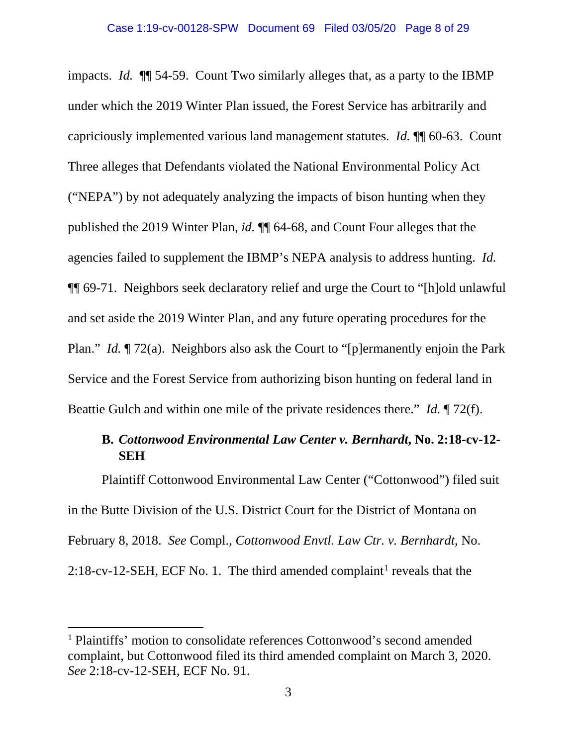impacts. *Id.* ¶¶ 54-59. Count Two similarly alleges that, as a party to the IBMP under which the 2019 Winter Plan issued, the Forest Service has arbitrarily and capriciously implemented various land management statutes. *Id.* ¶¶ 60-63. Count Three alleges that Defendants violated the National Environmental Policy Act ("NEPA") by not adequately analyzing the impacts of bison hunting when they published the 2019 Winter Plan, *id.* ¶¶ 64-68, and Count Four alleges that the agencies failed to supplement the IBMP's NEPA analysis to address hunting. *Id.* ¶¶ 69-71. Neighbors seek declaratory relief and urge the Court to "[h]old unlawful and set aside the 2019 Winter Plan, and any future operating procedures for the Plan." *Id.* ¶ 72(a). Neighbors also ask the Court to "[p]ermanently enjoin the Park Service and the Forest Service from authorizing bison hunting on federal land in Beattie Gulch and within one mile of the private residences there." *Id.* ¶ 72(f).

### **B.** *Cottonwood Environmental Law Center v. Bernhardt***, No. 2:18-cv-12- SEH**

Plaintiff Cottonwood Environmental Law Center ("Cottonwood") filed suit in the Butte Division of the U.S. District Court for the District of Montana on February 8, 2018. *See* Compl., *Cottonwood Envtl. Law Ctr. v. Bernhardt*, No. 2:[1](#page-7-0)8-cv-12-SEH, ECF No. 1. The third amended complaint<sup>1</sup> reveals that the

l

<span id="page-7-0"></span><sup>&</sup>lt;sup>1</sup> Plaintiffs' motion to consolidate references Cottonwood's second amended complaint, but Cottonwood filed its third amended complaint on March 3, 2020. *See* 2:18-cv-12-SEH, ECF No. 91.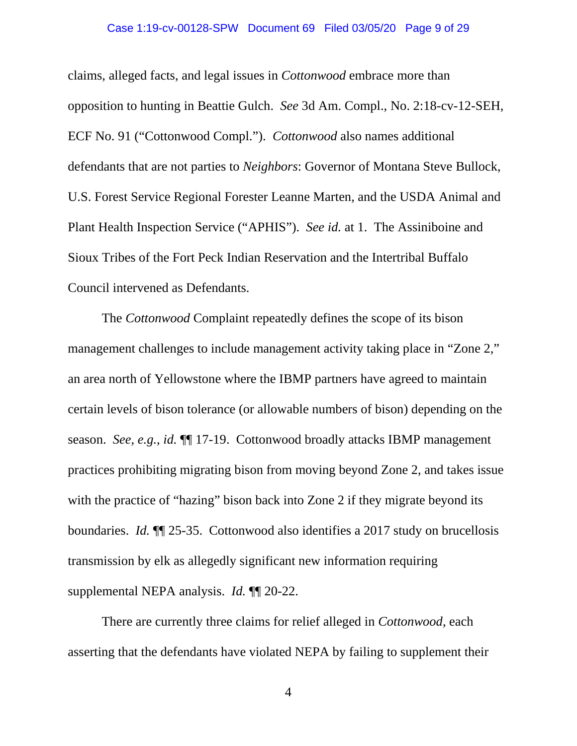#### Case 1:19-cv-00128-SPW Document 69 Filed 03/05/20 Page 9 of 29

claims, alleged facts, and legal issues in *Cottonwood* embrace more than opposition to hunting in Beattie Gulch. *See* 3d Am. Compl., No. 2:18-cv-12-SEH, ECF No. 91 ("Cottonwood Compl."). *Cottonwood* also names additional defendants that are not parties to *Neighbors*: Governor of Montana Steve Bullock, U.S. Forest Service Regional Forester Leanne Marten, and the USDA Animal and Plant Health Inspection Service ("APHIS"). *See id.* at 1. The Assiniboine and Sioux Tribes of the Fort Peck Indian Reservation and the Intertribal Buffalo Council intervened as Defendants.

The *Cottonwood* Complaint repeatedly defines the scope of its bison management challenges to include management activity taking place in "Zone 2," an area north of Yellowstone where the IBMP partners have agreed to maintain certain levels of bison tolerance (or allowable numbers of bison) depending on the season. *See, e.g.*, *id.* ¶¶ 17-19. Cottonwood broadly attacks IBMP management practices prohibiting migrating bison from moving beyond Zone 2, and takes issue with the practice of "hazing" bison back into Zone 2 if they migrate beyond its boundaries. *Id.* ¶¶ 25-35. Cottonwood also identifies a 2017 study on brucellosis transmission by elk as allegedly significant new information requiring supplemental NEPA analysis. *Id.* ¶¶ 20-22.

There are currently three claims for relief alleged in *Cottonwood*, each asserting that the defendants have violated NEPA by failing to supplement their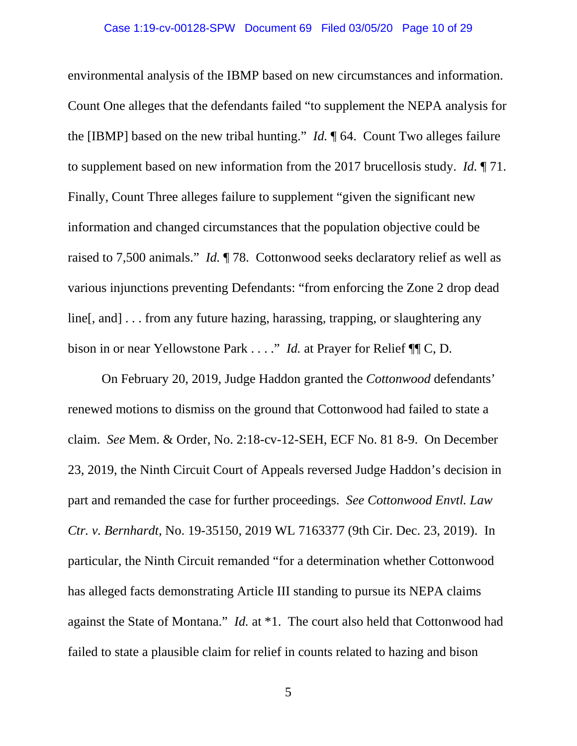environmental analysis of the IBMP based on new circumstances and information. Count One alleges that the defendants failed "to supplement the NEPA analysis for the [IBMP] based on the new tribal hunting." *Id.* ¶ 64. Count Two alleges failure to supplement based on new information from the 2017 brucellosis study. *Id.* ¶ 71. Finally, Count Three alleges failure to supplement "given the significant new information and changed circumstances that the population objective could be raised to 7,500 animals." *Id.* ¶ 78. Cottonwood seeks declaratory relief as well as various injunctions preventing Defendants: "from enforcing the Zone 2 drop dead line[, and] . . . from any future hazing, harassing, trapping, or slaughtering any bison in or near Yellowstone Park . . . ." *Id.* at Prayer for Relief ¶¶ C, D.

On February 20, 2019, Judge Haddon granted the *Cottonwood* defendants' renewed motions to dismiss on the ground that Cottonwood had failed to state a claim. *See* Mem. & Order, No. 2:18-cv-12-SEH, ECF No. 81 8-9. On December 23, 2019, the Ninth Circuit Court of Appeals reversed Judge Haddon's decision in part and remanded the case for further proceedings. *See Cottonwood Envtl. Law Ctr. v. Bernhardt*, No. 19-35150, 2019 WL 7163377 (9th Cir. Dec. 23, 2019). In particular, the Ninth Circuit remanded "for a determination whether Cottonwood has alleged facts demonstrating Article III standing to pursue its NEPA claims against the State of Montana." *Id.* at \*1. The court also held that Cottonwood had failed to state a plausible claim for relief in counts related to hazing and bison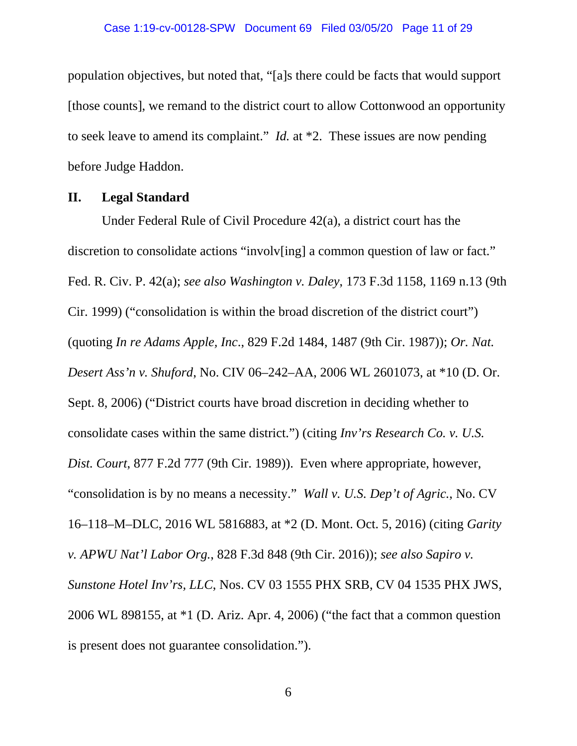population objectives, but noted that, "[a]s there could be facts that would support [those counts], we remand to the district court to allow Cottonwood an opportunity to seek leave to amend its complaint." *Id.* at \*2. These issues are now pending before Judge Haddon.

#### **II. Legal Standard**

Under Federal Rule of Civil Procedure 42(a), a district court has the discretion to consolidate actions "involv[ing] a common question of law or fact." Fed. R. Civ. P. 42(a); *see also Washington v. Daley*, 173 F.3d 1158, 1169 n.13 (9th Cir. 1999) ("consolidation is within the broad discretion of the district court") (quoting *In re Adams Apple, Inc*., 829 F.2d 1484, 1487 (9th Cir. 1987)); *Or. Nat. Desert Ass'n v. Shuford*, No. CIV 06–242–AA, 2006 WL 2601073, at \*10 (D. Or. Sept. 8, 2006) ("District courts have broad discretion in deciding whether to consolidate cases within the same district.") (citing *Inv'rs Research Co. v. U.S. Dist. Court*, 877 F.2d 777 (9th Cir. 1989)). Even where appropriate, however, "consolidation is by no means a necessity." *Wall v. U.S. Dep't of Agric.*, No. CV 16–118–M–DLC, 2016 WL 5816883, at \*2 (D. Mont. Oct. 5, 2016) (citing *Garity v. APWU Nat'l Labor Org.*, 828 F.3d 848 (9th Cir. 2016)); *see also Sapiro v. Sunstone Hotel Inv'rs, LLC*, Nos. CV 03 1555 PHX SRB, CV 04 1535 PHX JWS, 2006 WL 898155, at \*1 (D. Ariz. Apr. 4, 2006) ("the fact that a common question is present does not guarantee consolidation.").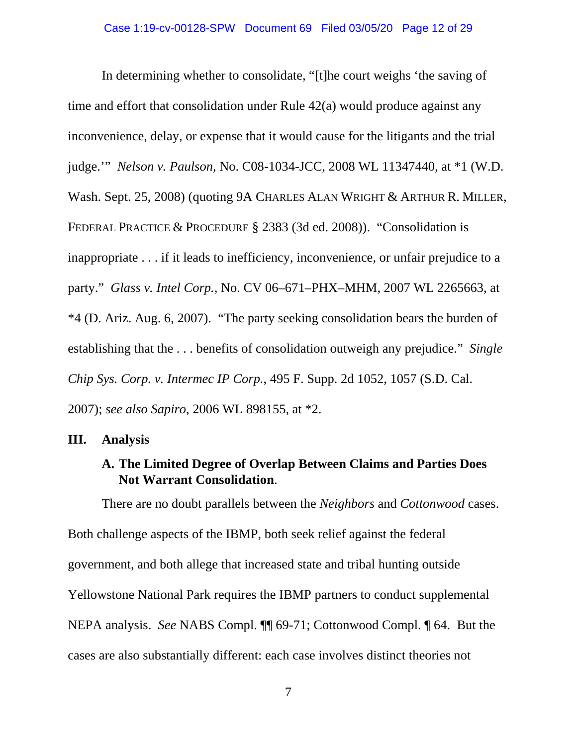In determining whether to consolidate, "[t]he court weighs 'the saving of time and effort that consolidation under Rule 42(a) would produce against any inconvenience, delay, or expense that it would cause for the litigants and the trial judge.'" *Nelson v. Paulson*, No. C08-1034-JCC, 2008 WL 11347440, at \*1 (W.D. Wash. Sept. 25, 2008) (quoting 9A CHARLES ALAN WRIGHT & ARTHUR R. MILLER, FEDERAL PRACTICE & PROCEDURE § 2383 (3d ed. 2008)). "Consolidation is inappropriate . . . if it leads to inefficiency, inconvenience, or unfair prejudice to a party." *Glass v. Intel Corp.*, No. CV 06–671–PHX–MHM, 2007 WL 2265663, at \*4 (D. Ariz. Aug. 6, 2007). "The party seeking consolidation bears the burden of establishing that the . . . benefits of consolidation outweigh any prejudice." *Single Chip Sys. Corp. v. Intermec IP Corp.*, 495 F. Supp. 2d 1052, 1057 (S.D. Cal. 2007); *see also Sapiro*, 2006 WL 898155, at \*2.

#### **III. Analysis**

### **A. The Limited Degree of Overlap Between Claims and Parties Does Not Warrant Consolidation**.

There are no doubt parallels between the *Neighbors* and *Cottonwood* cases. Both challenge aspects of the IBMP, both seek relief against the federal government, and both allege that increased state and tribal hunting outside Yellowstone National Park requires the IBMP partners to conduct supplemental NEPA analysis. *See* NABS Compl. ¶¶ 69-71; Cottonwood Compl. ¶ 64. But the cases are also substantially different: each case involves distinct theories not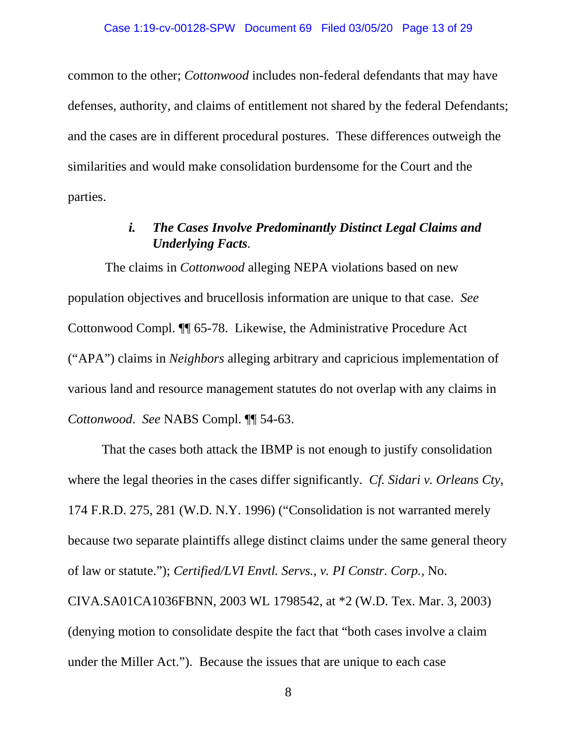common to the other; *Cottonwood* includes non-federal defendants that may have defenses, authority, and claims of entitlement not shared by the federal Defendants; and the cases are in different procedural postures. These differences outweigh the similarities and would make consolidation burdensome for the Court and the parties.

# *i. The Cases Involve Predominantly Distinct Legal Claims and Underlying Facts.*

The claims in *Cottonwood* alleging NEPA violations based on new population objectives and brucellosis information are unique to that case. *See* Cottonwood Compl. ¶¶ 65-78. Likewise, the Administrative Procedure Act ("APA") claims in *Neighbors* alleging arbitrary and capricious implementation of various land and resource management statutes do not overlap with any claims in *Cottonwood*. *See* NABS Compl. ¶¶ 54-63.

That the cases both attack the IBMP is not enough to justify consolidation where the legal theories in the cases differ significantly. *Cf. Sidari v. Orleans Cty*, 174 F.R.D. 275, 281 (W.D. N.Y. 1996) ("Consolidation is not warranted merely because two separate plaintiffs allege distinct claims under the same general theory of law or statute."); *Certified/LVI Envtl. Servs.*, *v. PI Constr. Corp.,* No. CIVA.SA01CA1036FBNN, 2003 WL 1798542, at \*2 (W.D. Tex. Mar. 3, 2003) (denying motion to consolidate despite the fact that "both cases involve a claim under the Miller Act."). Because the issues that are unique to each case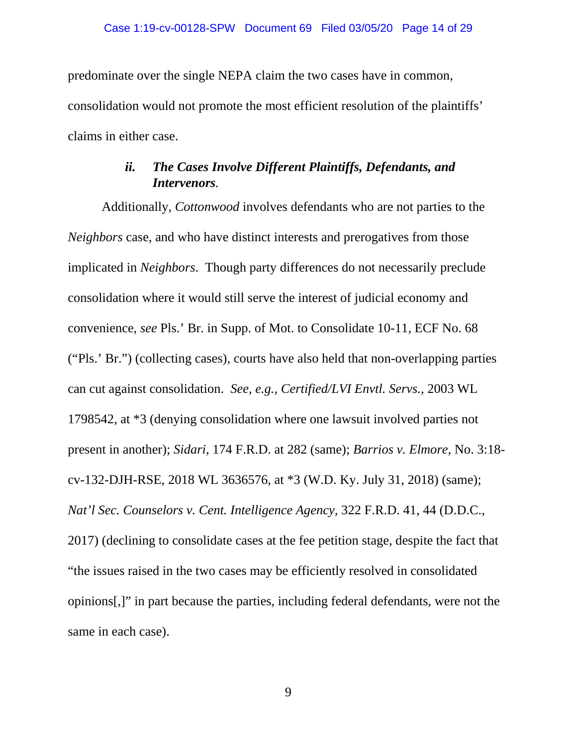predominate over the single NEPA claim the two cases have in common, consolidation would not promote the most efficient resolution of the plaintiffs' claims in either case.

# *ii. The Cases Involve Different Plaintiffs, Defendants, and Intervenors.*

Additionally, *Cottonwood* involves defendants who are not parties to the *Neighbors* case, and who have distinct interests and prerogatives from those implicated in *Neighbors*. Though party differences do not necessarily preclude consolidation where it would still serve the interest of judicial economy and convenience, *see* Pls.' Br. in Supp. of Mot. to Consolidate 10-11, ECF No. 68 ("Pls.' Br.") (collecting cases), courts have also held that non-overlapping parties can cut against consolidation. *See, e.g.*, *Certified/LVI Envtl. Servs.*, 2003 WL 1798542, at \*3 (denying consolidation where one lawsuit involved parties not present in another); *Sidari*, 174 F.R.D. at 282 (same); *Barrios v. Elmore*, No. 3:18 cv-132-DJH-RSE, 2018 WL 3636576, at \*3 (W.D. Ky. July 31, 2018) (same); *Nat'l Sec. Counselors v. Cent. Intelligence Agency*, 322 F.R.D. 41, 44 (D.D.C., 2017) (declining to consolidate cases at the fee petition stage, despite the fact that "the issues raised in the two cases may be efficiently resolved in consolidated opinions[,]" in part because the parties, including federal defendants, were not the same in each case).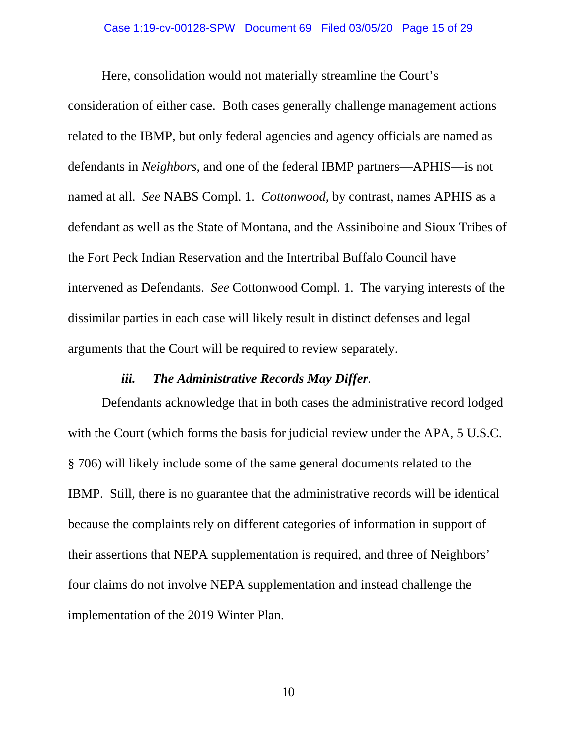#### Case 1:19-cv-00128-SPW Document 69 Filed 03/05/20 Page 15 of 29

Here, consolidation would not materially streamline the Court's consideration of either case. Both cases generally challenge management actions related to the IBMP, but only federal agencies and agency officials are named as defendants in *Neighbors*, and one of the federal IBMP partners—APHIS—is not named at all. *See* NABS Compl. 1. *Cottonwood*, by contrast, names APHIS as a defendant as well as the State of Montana, and the Assiniboine and Sioux Tribes of the Fort Peck Indian Reservation and the Intertribal Buffalo Council have intervened as Defendants. *See* Cottonwood Compl. 1. The varying interests of the dissimilar parties in each case will likely result in distinct defenses and legal arguments that the Court will be required to review separately.

#### *iii. The Administrative Records May Differ.*

Defendants acknowledge that in both cases the administrative record lodged with the Court (which forms the basis for judicial review under the APA, 5 U.S.C. § 706) will likely include some of the same general documents related to the IBMP. Still, there is no guarantee that the administrative records will be identical because the complaints rely on different categories of information in support of their assertions that NEPA supplementation is required, and three of Neighbors' four claims do not involve NEPA supplementation and instead challenge the implementation of the 2019 Winter Plan.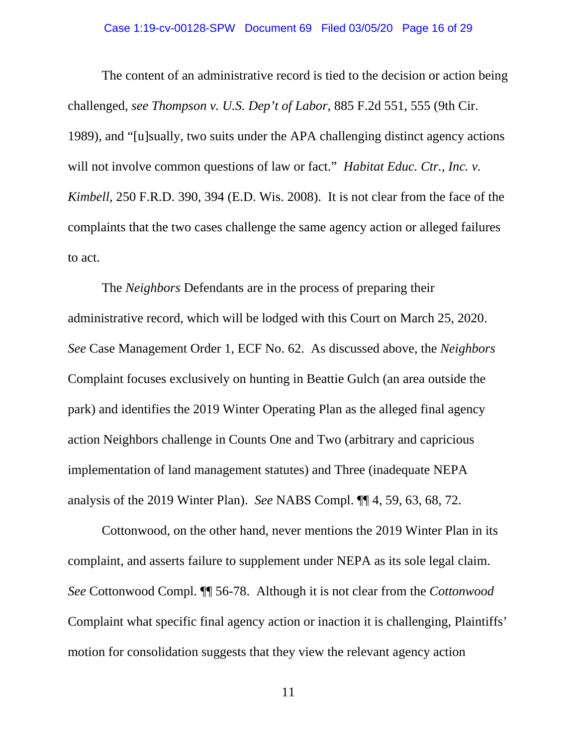#### Case 1:19-cv-00128-SPW Document 69 Filed 03/05/20 Page 16 of 29

The content of an administrative record is tied to the decision or action being challenged, *see Thompson v. U.S. Dep't of Labor*, 885 F.2d 551, 555 (9th Cir. 1989), and "[u]sually, two suits under the APA challenging distinct agency actions will not involve common questions of law or fact." *Habitat Educ. Ctr., Inc. v. Kimbell*, 250 F.R.D. 390, 394 (E.D. Wis. 2008). It is not clear from the face of the complaints that the two cases challenge the same agency action or alleged failures to act.

The *Neighbors* Defendants are in the process of preparing their administrative record, which will be lodged with this Court on March 25, 2020. *See* Case Management Order 1, ECF No. 62. As discussed above, the *Neighbors* Complaint focuses exclusively on hunting in Beattie Gulch (an area outside the park) and identifies the 2019 Winter Operating Plan as the alleged final agency action Neighbors challenge in Counts One and Two (arbitrary and capricious implementation of land management statutes) and Three (inadequate NEPA analysis of the 2019 Winter Plan). *See* NABS Compl. ¶¶ 4, 59, 63, 68, 72.

Cottonwood, on the other hand, never mentions the 2019 Winter Plan in its complaint, and asserts failure to supplement under NEPA as its sole legal claim. *See* Cottonwood Compl. ¶¶ 56-78. Although it is not clear from the *Cottonwood* Complaint what specific final agency action or inaction it is challenging, Plaintiffs' motion for consolidation suggests that they view the relevant agency action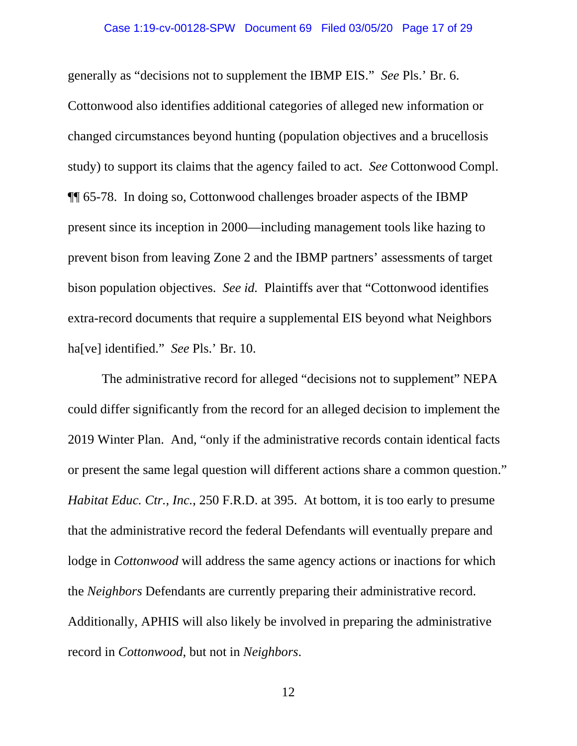#### Case 1:19-cv-00128-SPW Document 69 Filed 03/05/20 Page 17 of 29

generally as "decisions not to supplement the IBMP EIS." *See* Pls.' Br. 6. Cottonwood also identifies additional categories of alleged new information or changed circumstances beyond hunting (population objectives and a brucellosis study) to support its claims that the agency failed to act. *See* Cottonwood Compl. ¶¶ 65-78. In doing so, Cottonwood challenges broader aspects of the IBMP present since its inception in 2000—including management tools like hazing to prevent bison from leaving Zone 2 and the IBMP partners' assessments of target bison population objectives. *See id.* Plaintiffs aver that "Cottonwood identifies extra-record documents that require a supplemental EIS beyond what Neighbors ha[ve] identified." *See* Pls.' Br. 10.

The administrative record for alleged "decisions not to supplement" NEPA could differ significantly from the record for an alleged decision to implement the 2019 Winter Plan. And, "only if the administrative records contain identical facts or present the same legal question will different actions share a common question." *Habitat Educ. Ctr., Inc.*, 250 F.R.D. at 395. At bottom, it is too early to presume that the administrative record the federal Defendants will eventually prepare and lodge in *Cottonwood* will address the same agency actions or inactions for which the *Neighbors* Defendants are currently preparing their administrative record. Additionally, APHIS will also likely be involved in preparing the administrative record in *Cottonwood*, but not in *Neighbors*.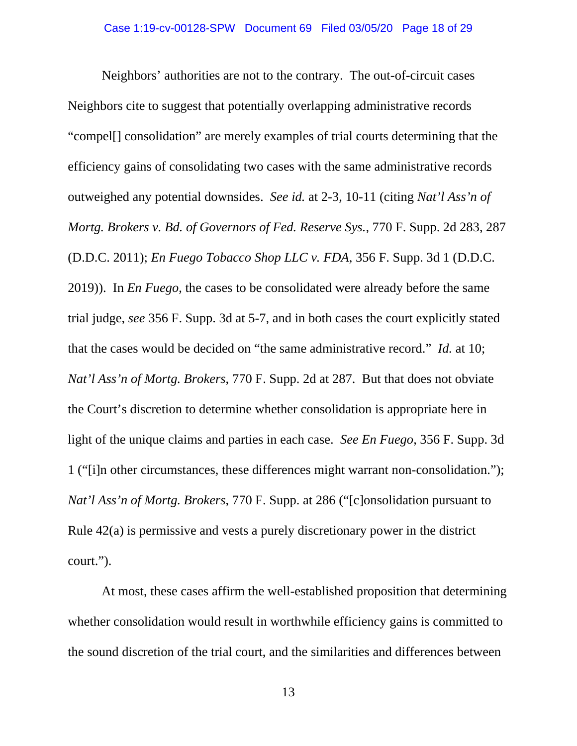Neighbors' authorities are not to the contrary. The out-of-circuit cases Neighbors cite to suggest that potentially overlapping administrative records "compel[] consolidation" are merely examples of trial courts determining that the efficiency gains of consolidating two cases with the same administrative records outweighed any potential downsides. *See id.* at 2-3, 10-11 (citing *Nat'l Ass'n of Mortg. Brokers v. Bd. of Governors of Fed. Reserve Sys.*, 770 F. Supp. 2d 283, 287 (D.D.C. 2011); *En Fuego Tobacco Shop LLC v. FDA*, 356 F. Supp. 3d 1 (D.D.C. 2019)). In *En Fuego*, the cases to be consolidated were already before the same trial judge, *see* 356 F. Supp. 3d at 5-7, and in both cases the court explicitly stated that the cases would be decided on "the same administrative record." *Id.* at 10; *Nat'l Ass'n of Mortg. Brokers*, 770 F. Supp. 2d at 287. But that does not obviate the Court's discretion to determine whether consolidation is appropriate here in light of the unique claims and parties in each case. *See En Fuego*, 356 F. Supp. 3d 1 ("[i]n other circumstances, these differences might warrant non-consolidation."); *Nat'l Ass'n of Mortg. Brokers*, 770 F. Supp. at 286 ("[c]onsolidation pursuant to Rule 42(a) is permissive and vests a purely discretionary power in the district court.").

At most, these cases affirm the well-established proposition that determining whether consolidation would result in worthwhile efficiency gains is committed to the sound discretion of the trial court, and the similarities and differences between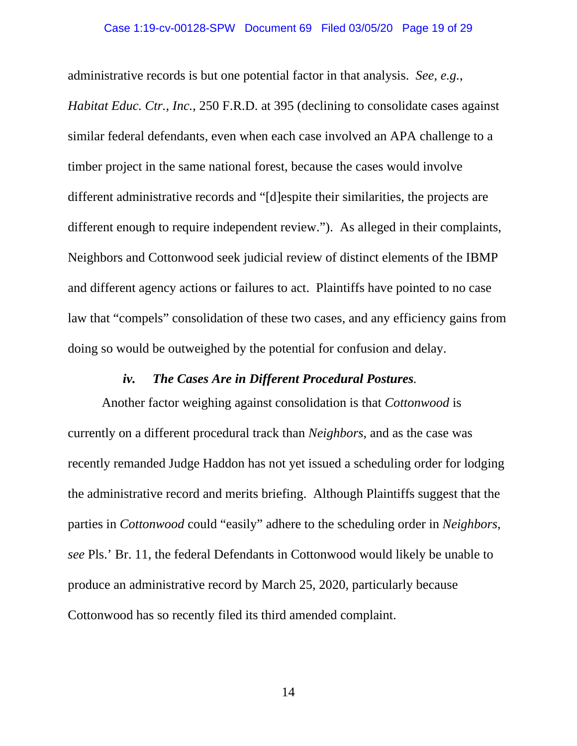administrative records is but one potential factor in that analysis. *See, e.g.*,

*Habitat Educ. Ctr., Inc.*, 250 F.R.D. at 395 (declining to consolidate cases against similar federal defendants, even when each case involved an APA challenge to a timber project in the same national forest, because the cases would involve different administrative records and "[d]espite their similarities, the projects are different enough to require independent review."). As alleged in their complaints, Neighbors and Cottonwood seek judicial review of distinct elements of the IBMP and different agency actions or failures to act. Plaintiffs have pointed to no case law that "compels" consolidation of these two cases, and any efficiency gains from doing so would be outweighed by the potential for confusion and delay.

#### *iv. The Cases Are in Different Procedural Postures.*

Another factor weighing against consolidation is that *Cottonwood* is currently on a different procedural track than *Neighbors*, and as the case was recently remanded Judge Haddon has not yet issued a scheduling order for lodging the administrative record and merits briefing. Although Plaintiffs suggest that the parties in *Cottonwood* could "easily" adhere to the scheduling order in *Neighbors*, *see* Pls.' Br. 11, the federal Defendants in Cottonwood would likely be unable to produce an administrative record by March 25, 2020, particularly because Cottonwood has so recently filed its third amended complaint.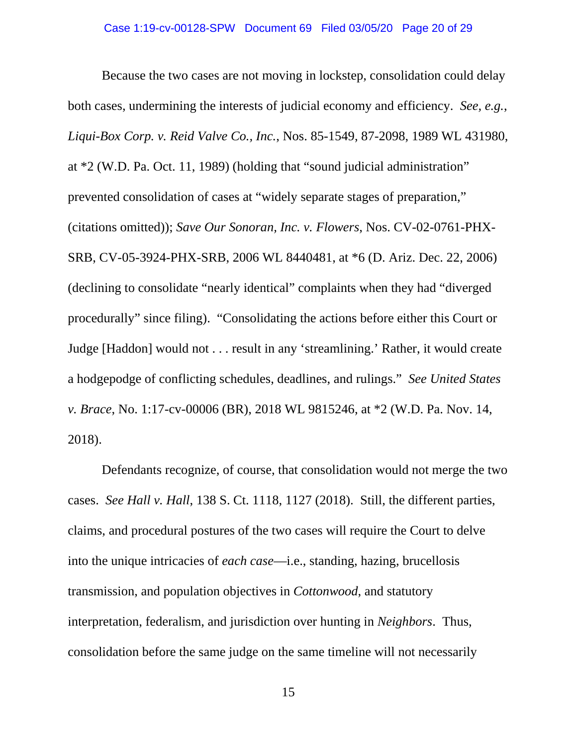Because the two cases are not moving in lockstep, consolidation could delay both cases, undermining the interests of judicial economy and efficiency. *See, e.g.*, *Liqui-Box Corp. v. Reid Valve Co., Inc.*, Nos. 85-1549, 87-2098, 1989 WL 431980, at \*2 (W.D. Pa. Oct. 11, 1989) (holding that "sound judicial administration" prevented consolidation of cases at "widely separate stages of preparation," (citations omitted)); *Save Our Sonoran, Inc. v. Flowers*, Nos. CV-02-0761-PHX-SRB, CV-05-3924-PHX-SRB, 2006 WL 8440481, at \*6 (D. Ariz. Dec. 22, 2006) (declining to consolidate "nearly identical" complaints when they had "diverged procedurally" since filing). "Consolidating the actions before either this Court or Judge [Haddon] would not . . . result in any 'streamlining.' Rather, it would create a hodgepodge of conflicting schedules, deadlines, and rulings." *See United States v. Brace*, No. 1:17-cv-00006 (BR), 2018 WL 9815246, at \*2 (W.D. Pa. Nov. 14, 2018).

Defendants recognize, of course, that consolidation would not merge the two cases. *See Hall v. Hall*, 138 S. Ct. 1118, 1127 (2018). Still, the different parties, claims, and procedural postures of the two cases will require the Court to delve into the unique intricacies of *each case*—i.e., standing, hazing, brucellosis transmission, and population objectives in *Cottonwood*, and statutory interpretation, federalism, and jurisdiction over hunting in *Neighbors*. Thus, consolidation before the same judge on the same timeline will not necessarily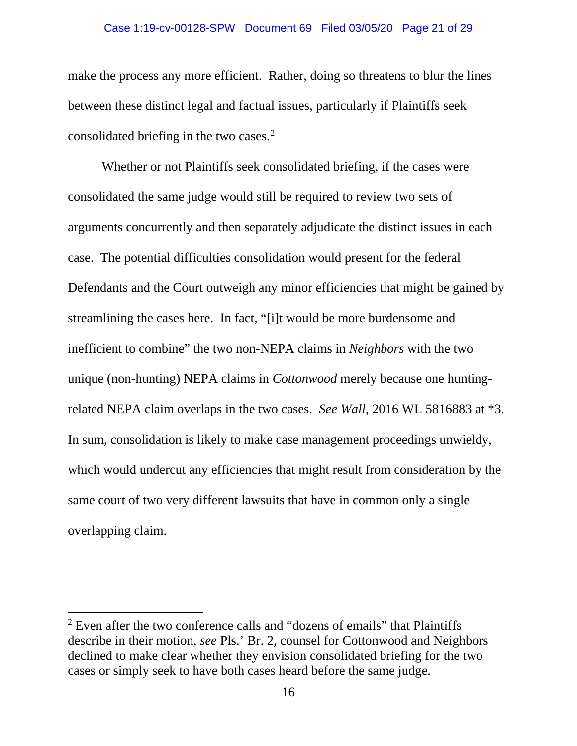#### Case 1:19-cv-00128-SPW Document 69 Filed 03/05/20 Page 21 of 29

make the process any more efficient. Rather, doing so threatens to blur the lines between these distinct legal and factual issues, particularly if Plaintiffs seek consolidated briefing in the two cases. $2$ 

Whether or not Plaintiffs seek consolidated briefing, if the cases were consolidated the same judge would still be required to review two sets of arguments concurrently and then separately adjudicate the distinct issues in each case. The potential difficulties consolidation would present for the federal Defendants and the Court outweigh any minor efficiencies that might be gained by streamlining the cases here. In fact, "[i]t would be more burdensome and inefficient to combine" the two non-NEPA claims in *Neighbors* with the two unique (non-hunting) NEPA claims in *Cottonwood* merely because one huntingrelated NEPA claim overlaps in the two cases. *See Wall*, 2016 WL 5816883 at \*3. In sum, consolidation is likely to make case management proceedings unwieldy, which would undercut any efficiencies that might result from consideration by the same court of two very different lawsuits that have in common only a single overlapping claim.

 $\overline{\phantom{a}}$ 

<span id="page-20-0"></span> $2$  Even after the two conference calls and "dozens of emails" that Plaintiffs describe in their motion, *see* Pls.' Br. 2, counsel for Cottonwood and Neighbors declined to make clear whether they envision consolidated briefing for the two cases or simply seek to have both cases heard before the same judge.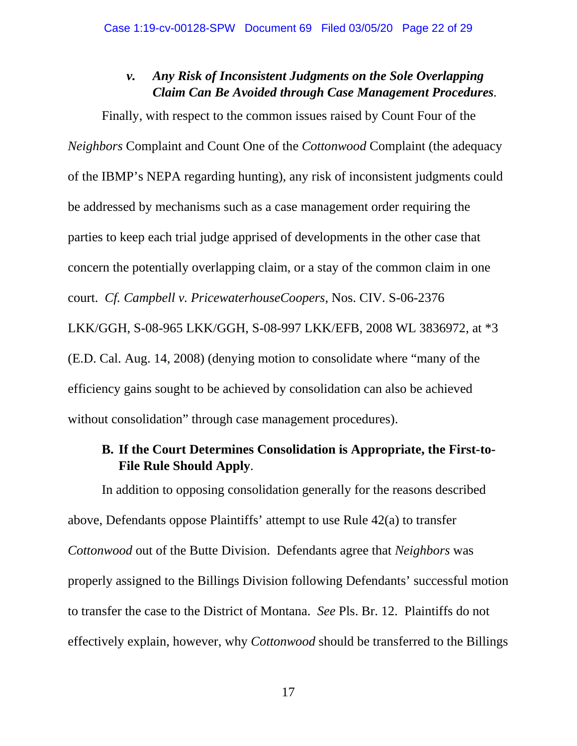### *v. Any Risk of Inconsistent Judgments on the Sole Overlapping Claim Can Be Avoided through Case Management Procedures.*

Finally, with respect to the common issues raised by Count Four of the *Neighbors* Complaint and Count One of the *Cottonwood* Complaint (the adequacy of the IBMP's NEPA regarding hunting), any risk of inconsistent judgments could be addressed by mechanisms such as a case management order requiring the parties to keep each trial judge apprised of developments in the other case that concern the potentially overlapping claim, or a stay of the common claim in one court. *Cf. Campbell v. PricewaterhouseCoopers*, Nos. CIV. S-06-2376 LKK/GGH, S-08-965 LKK/GGH, S-08-997 LKK/EFB, 2008 WL 3836972, at \*3 (E.D. Cal. Aug. 14, 2008) (denying motion to consolidate where "many of the efficiency gains sought to be achieved by consolidation can also be achieved without consolidation" through case management procedures).

### **B. If the Court Determines Consolidation is Appropriate, the First-to-File Rule Should Apply**.

In addition to opposing consolidation generally for the reasons described above, Defendants oppose Plaintiffs' attempt to use Rule 42(a) to transfer *Cottonwood* out of the Butte Division. Defendants agree that *Neighbors* was properly assigned to the Billings Division following Defendants' successful motion to transfer the case to the District of Montana. *See* Pls. Br. 12. Plaintiffs do not effectively explain, however, why *Cottonwood* should be transferred to the Billings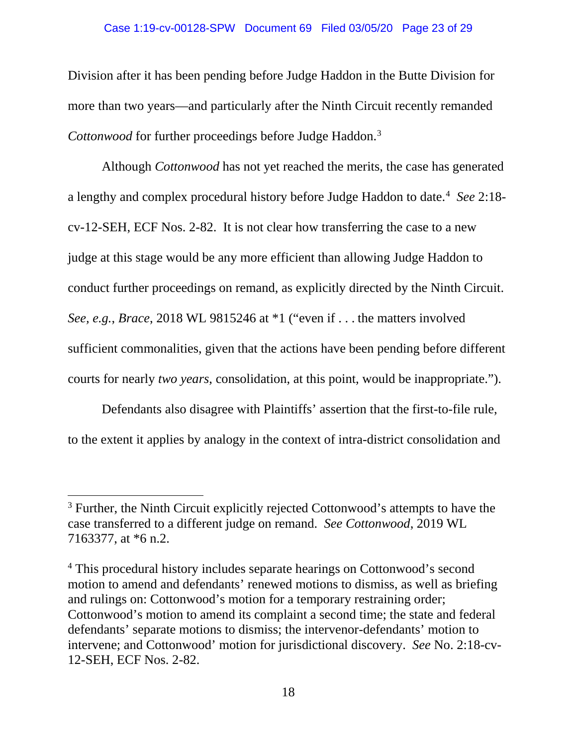#### Case 1:19-cv-00128-SPW Document 69 Filed 03/05/20 Page 23 of 29

Division after it has been pending before Judge Haddon in the Butte Division for more than two years—and particularly after the Ninth Circuit recently remanded *Cottonwood* for further proceedings before Judge Haddon.[3](#page-22-0)

Although *Cottonwood* has not yet reached the merits, the case has generated a lengthy and complex procedural history before Judge Haddon to date.<sup>[4](#page-22-1)</sup> See 2:18cv-12-SEH, ECF Nos. 2-82. It is not clear how transferring the case to a new judge at this stage would be any more efficient than allowing Judge Haddon to conduct further proceedings on remand, as explicitly directed by the Ninth Circuit. *See, e.g.*, *Brace*, 2018 WL 9815246 at \*1 ("even if . . . the matters involved sufficient commonalities, given that the actions have been pending before different courts for nearly *two years*, consolidation, at this point, would be inappropriate.").

Defendants also disagree with Plaintiffs' assertion that the first-to-file rule, to the extent it applies by analogy in the context of intra-district consolidation and

l

<span id="page-22-0"></span><sup>&</sup>lt;sup>3</sup> Further, the Ninth Circuit explicitly rejected Cottonwood's attempts to have the case transferred to a different judge on remand. *See Cottonwood*, 2019 WL 7163377, at \*6 n.2.

<span id="page-22-1"></span><sup>&</sup>lt;sup>4</sup> This procedural history includes separate hearings on Cottonwood's second motion to amend and defendants' renewed motions to dismiss, as well as briefing and rulings on: Cottonwood's motion for a temporary restraining order; Cottonwood's motion to amend its complaint a second time; the state and federal defendants' separate motions to dismiss; the intervenor-defendants' motion to intervene; and Cottonwood' motion for jurisdictional discovery. *See* No. 2:18-cv-12-SEH, ECF Nos. 2-82.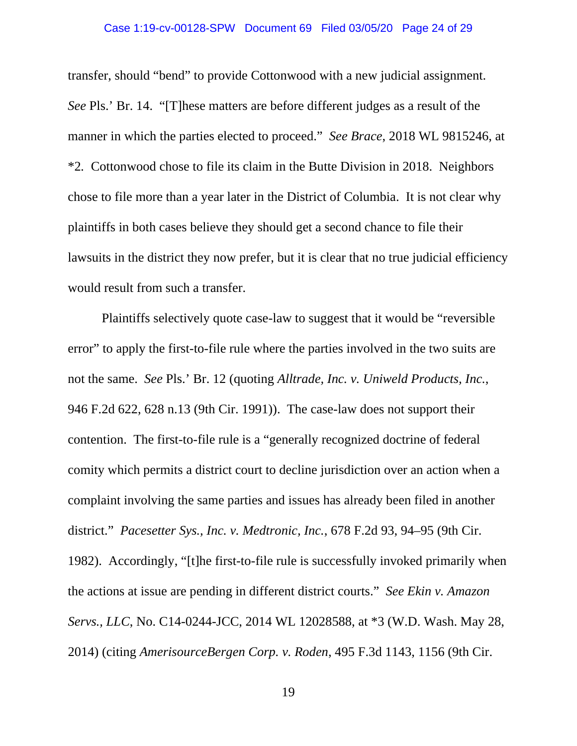transfer, should "bend" to provide Cottonwood with a new judicial assignment. *See* Pls.' Br. 14. "[T]hese matters are before different judges as a result of the manner in which the parties elected to proceed." *See Brace*, 2018 WL 9815246, at \*2*.* Cottonwood chose to file its claim in the Butte Division in 2018. Neighbors chose to file more than a year later in the District of Columbia. It is not clear why plaintiffs in both cases believe they should get a second chance to file their lawsuits in the district they now prefer, but it is clear that no true judicial efficiency would result from such a transfer.

Plaintiffs selectively quote case-law to suggest that it would be "reversible error" to apply the first-to-file rule where the parties involved in the two suits are not the same. *See* Pls.' Br. 12 (quoting *Alltrade, Inc. v. Uniweld Products, Inc.*, 946 F.2d 622, 628 n.13 (9th Cir. 1991)). The case-law does not support their contention. The first-to-file rule is a "generally recognized doctrine of federal comity which permits a district court to decline jurisdiction over an action when a complaint involving the same parties and issues has already been filed in another district." *Pacesetter Sys., Inc. v. Medtronic, Inc.*, 678 F.2d 93, 94–95 (9th Cir. 1982). Accordingly, "[t]he first-to-file rule is successfully invoked primarily when the actions at issue are pending in different district courts." *See Ekin v. Amazon Servs., LLC*, No. C14-0244-JCC, 2014 WL 12028588, at \*3 (W.D. Wash. May 28, 2014) (citing *AmerisourceBergen Corp. v. Roden*, 495 F.3d 1143, 1156 (9th Cir.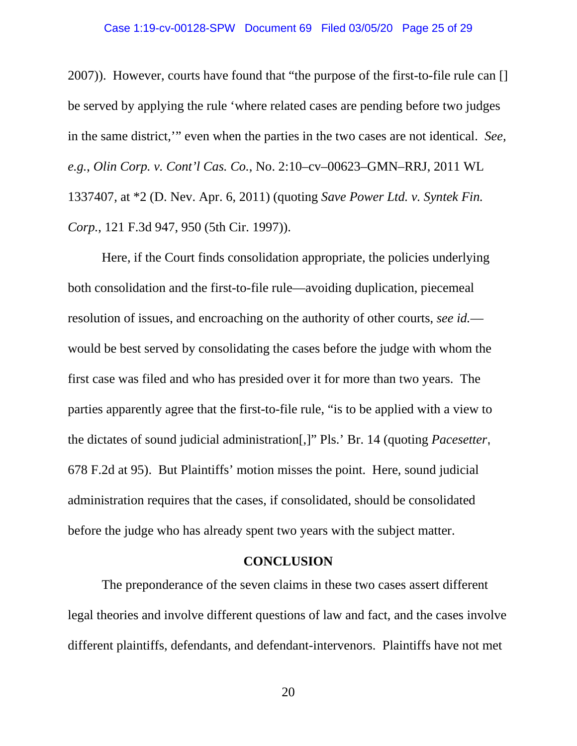#### Case 1:19-cv-00128-SPW Document 69 Filed 03/05/20 Page 25 of 29

2007)). However, courts have found that "the purpose of the first-to-file rule can [] be served by applying the rule 'where related cases are pending before two judges in the same district,'" even when the parties in the two cases are not identical. *See, e.g.*, *Olin Corp. v. Cont'l Cas. Co.*, No. 2:10–cv–00623–GMN–RRJ, 2011 WL 1337407, at \*2 (D. Nev. Apr. 6, 2011) (quoting *Save Power Ltd. v. Syntek Fin. Corp.*, 121 F.3d 947, 950 (5th Cir. 1997)).

Here, if the Court finds consolidation appropriate, the policies underlying both consolidation and the first-to-file rule—avoiding duplication, piecemeal resolution of issues, and encroaching on the authority of other courts, *see id.* would be best served by consolidating the cases before the judge with whom the first case was filed and who has presided over it for more than two years. The parties apparently agree that the first-to-file rule, "is to be applied with a view to the dictates of sound judicial administration[,]" Pls.' Br. 14 (quoting *Pacesetter*, 678 F.2d at 95). But Plaintiffs' motion misses the point. Here, sound judicial administration requires that the cases, if consolidated, should be consolidated before the judge who has already spent two years with the subject matter.

#### **CONCLUSION**

The preponderance of the seven claims in these two cases assert different legal theories and involve different questions of law and fact, and the cases involve different plaintiffs, defendants, and defendant-intervenors. Plaintiffs have not met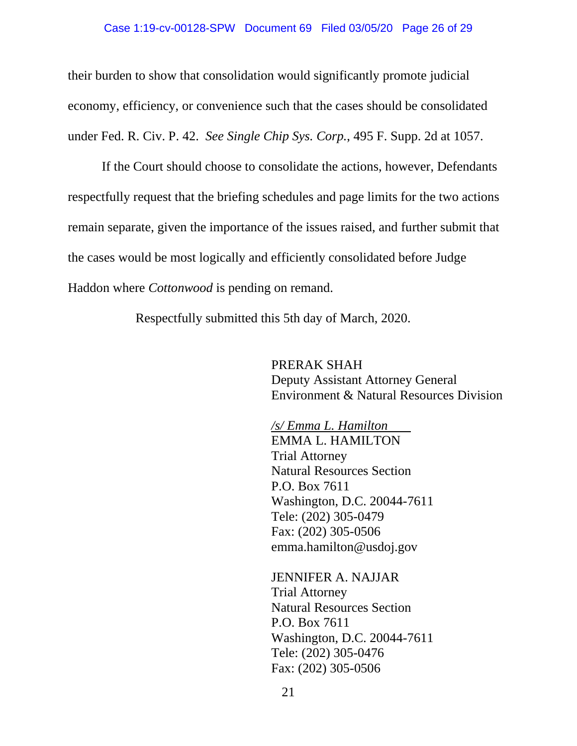#### Case 1:19-cv-00128-SPW Document 69 Filed 03/05/20 Page 26 of 29

their burden to show that consolidation would significantly promote judicial economy, efficiency, or convenience such that the cases should be consolidated under Fed. R. Civ. P. 42. *See Single Chip Sys. Corp.*, 495 F. Supp. 2d at 1057.

If the Court should choose to consolidate the actions, however, Defendants respectfully request that the briefing schedules and page limits for the two actions remain separate, given the importance of the issues raised, and further submit that the cases would be most logically and efficiently consolidated before Judge Haddon where *Cottonwood* is pending on remand.

Respectfully submitted this 5th day of March, 2020.

PRERAK SHAH Deputy Assistant Attorney General Environment & Natural Resources Division

*/s/ Emma L. Hamilton*  EMMA L. HAMILTON Trial Attorney Natural Resources Section P.O. Box 7611 Washington, D.C. 20044-7611 Tele: (202) 305-0479 Fax: (202) 305-0506 emma.hamilton@usdoj.gov

JENNIFER A. NAJJAR Trial Attorney Natural Resources Section P.O. Box 7611 Washington, D.C. 20044-7611 Tele: (202) 305-0476 Fax: (202) 305-0506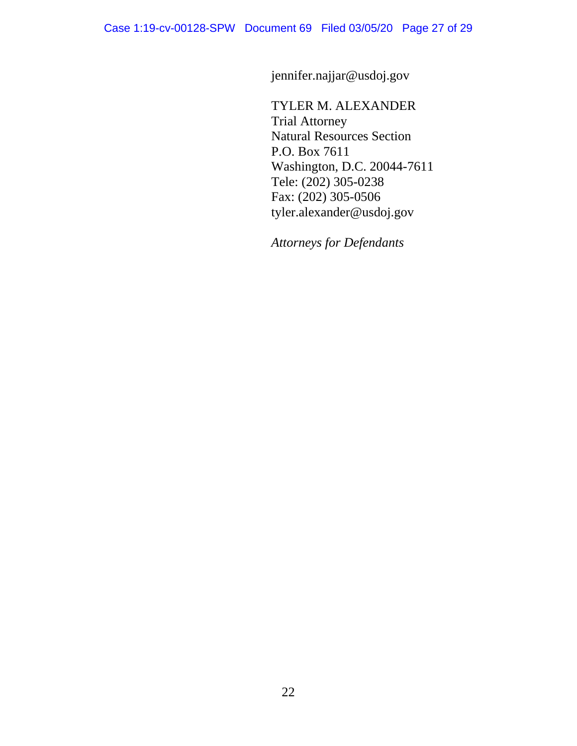jennifer.najjar@usdoj.gov

TYLER M. ALEXANDER Trial Attorney Natural Resources Section P.O. Box 7611 Washington, D.C. 20044-7611 Tele: (202) 305-0238 Fax: (202) 305-0506 tyler.alexander@usdoj.gov

*Attorneys for Defendants*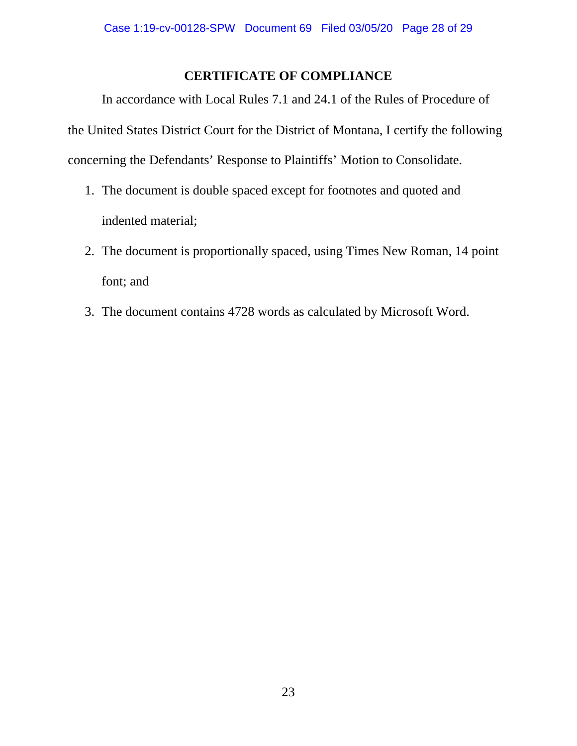## **CERTIFICATE OF COMPLIANCE**

In accordance with Local Rules 7.1 and 24.1 of the Rules of Procedure of the United States District Court for the District of Montana, I certify the following concerning the Defendants' Response to Plaintiffs' Motion to Consolidate.

- 1. The document is double spaced except for footnotes and quoted and indented material;
- 2. The document is proportionally spaced, using Times New Roman, 14 point font; and
- 3. The document contains 4728 words as calculated by Microsoft Word.